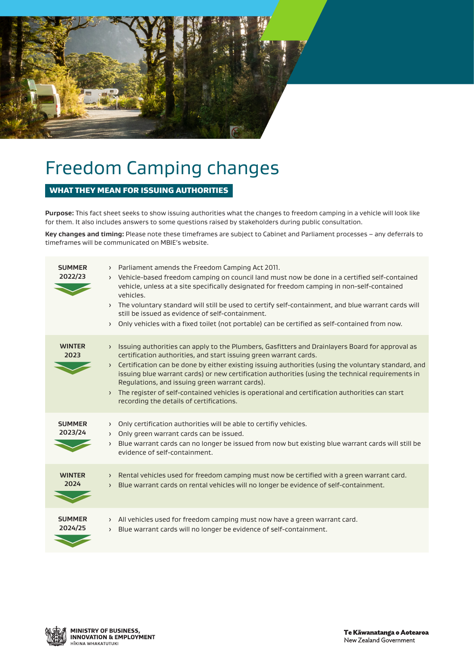

# Freedom Camping changes

# WHAT THEY MEAN FOR ISSUING AUTHORITIES

**Purpose:** This fact sheet seeks to show issuing authorities what the changes to freedom camping in a vehicle will look like for them. It also includes answers to some questions raised by stakeholders during public consultation.

**Key changes and timing:** Please note these timeframes are subject to Cabinet and Parliament processes – any deferrals to timeframes will be communicated on MBIE's website.

| <b>SUMMER</b><br>2022/23 | > Parliament amends the Freedom Camping Act 2011.<br>> Vehicle-based freedom camping on council land must now be done in a certified self-contained<br>vehicle, unless at a site specifically designated for freedom camping in non-self-contained<br>vehicles.<br>> The voluntary standard will still be used to certify self-containment, and blue warrant cards will<br>still be issued as evidence of self-containment.<br>> Only vehicles with a fixed toilet (not portable) can be certified as self-contained from now.                                                                                                         |
|--------------------------|----------------------------------------------------------------------------------------------------------------------------------------------------------------------------------------------------------------------------------------------------------------------------------------------------------------------------------------------------------------------------------------------------------------------------------------------------------------------------------------------------------------------------------------------------------------------------------------------------------------------------------------|
| <b>WINTER</b><br>2023    | Issuing authorities can apply to the Plumbers, Gasfitters and Drainlayers Board for approval as<br>$\rightarrow$<br>certification authorities, and start issuing green warrant cards.<br>Certification can be done by either existing issuing authorities (using the voluntary standard, and<br>$\rightarrow$<br>issuing blue warrant cards) or new certification authorities (using the technical requirements in<br>Regulations, and issuing green warrant cards).<br>The register of self-contained vehicles is operational and certification authorities can start<br>$\left( \right)$<br>recording the details of certifications. |
| <b>SUMMER</b><br>2023/24 | Only certification authorities will be able to certifiy vehicles.<br>$\left( \right)$<br>Only green warrant cards can be issued.<br>$\rightarrow$<br>Blue warrant cards can no longer be issued from now but existing blue warrant cards will still be<br>$\left( \right)$<br>evidence of self-containment.                                                                                                                                                                                                                                                                                                                            |
| <b>WINTER</b><br>2024    | Rental vehicles used for freedom camping must now be certified with a green warrant card.<br>$\sum$<br>Blue warrant cards on rental vehicles will no longer be evidence of self-containment.<br>$\left( \right)$                                                                                                                                                                                                                                                                                                                                                                                                                       |
| <b>SUMMER</b><br>2024/25 | > All vehicles used for freedom camping must now have a green warrant card.<br>Blue warrant cards will no longer be evidence of self-containment.<br>$\left( \right)$                                                                                                                                                                                                                                                                                                                                                                                                                                                                  |